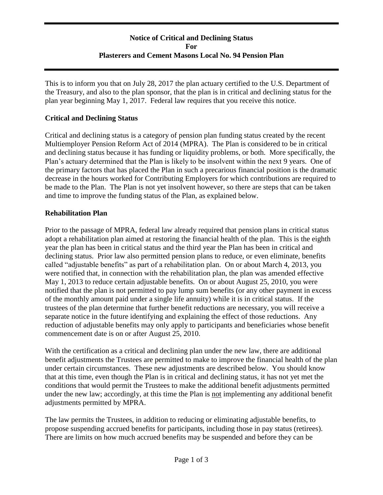# **Notice of Critical and Declining Status For Plasterers and Cement Masons Local No. 94 Pension Plan**

This is to inform you that on July 28, 2017 the plan actuary certified to the U.S. Department of the Treasury, and also to the plan sponsor, that the plan is in critical and declining status for the plan year beginning May 1, 2017. Federal law requires that you receive this notice.

### **Critical and Declining Status**

Critical and declining status is a category of pension plan funding status created by the recent Multiemployer Pension Reform Act of 2014 (MPRA). The Plan is considered to be in critical and declining status because it has funding or liquidity problems, or both. More specifically, the Plan's actuary determined that the Plan is likely to be insolvent within the next 9 years. One of the primary factors that has placed the Plan in such a precarious financial position is the dramatic decrease in the hours worked for Contributing Employers for which contributions are required to be made to the Plan. The Plan is not yet insolvent however, so there are steps that can be taken and time to improve the funding status of the Plan, as explained below.

### **Rehabilitation Plan**

Prior to the passage of MPRA, federal law already required that pension plans in critical status adopt a rehabilitation plan aimed at restoring the financial health of the plan. This is the eighth year the plan has been in critical status and the third year the Plan has been in critical and declining status. Prior law also permitted pension plans to reduce, or even eliminate, benefits called "adjustable benefits" as part of a rehabilitation plan. On or about March 4, 2013, you were notified that, in connection with the rehabilitation plan, the plan was amended effective May 1, 2013 to reduce certain adjustable benefits. On or about August 25, 2010, you were notified that the plan is not permitted to pay lump sum benefits (or any other payment in excess of the monthly amount paid under a single life annuity) while it is in critical status. If the trustees of the plan determine that further benefit reductions are necessary, you will receive a separate notice in the future identifying and explaining the effect of those reductions. Any reduction of adjustable benefits may only apply to participants and beneficiaries whose benefit commencement date is on or after August 25, 2010.

With the certification as a critical and declining plan under the new law, there are additional benefit adjustments the Trustees are permitted to make to improve the financial health of the plan under certain circumstances. These new adjustments are described below. You should know that at this time, even though the Plan is in critical and declining status, it has not yet met the conditions that would permit the Trustees to make the additional benefit adjustments permitted under the new law; accordingly, at this time the Plan is not implementing any additional benefit adjustments permitted by MPRA.

The law permits the Trustees, in addition to reducing or eliminating adjustable benefits, to propose suspending accrued benefits for participants, including those in pay status (retirees). There are limits on how much accrued benefits may be suspended and before they can be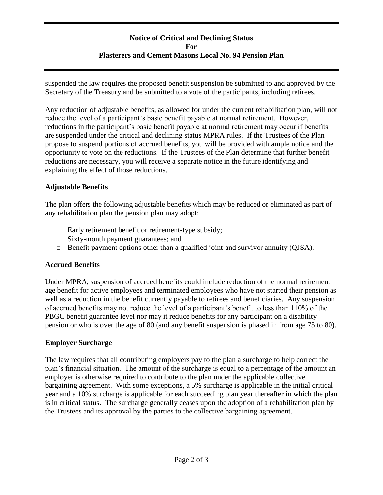# **Notice of Critical and Declining Status For Plasterers and Cement Masons Local No. 94 Pension Plan**

suspended the law requires the proposed benefit suspension be submitted to and approved by the Secretary of the Treasury and be submitted to a vote of the participants, including retirees.

Any reduction of adjustable benefits, as allowed for under the current rehabilitation plan, will not reduce the level of a participant's basic benefit payable at normal retirement. However, reductions in the participant's basic benefit payable at normal retirement may occur if benefits are suspended under the critical and declining status MPRA rules. If the Trustees of the Plan propose to suspend portions of accrued benefits, you will be provided with ample notice and the opportunity to vote on the reductions. If the Trustees of the Plan determine that further benefit reductions are necessary, you will receive a separate notice in the future identifying and explaining the effect of those reductions.

### **Adjustable Benefits**

The plan offers the following adjustable benefits which may be reduced or eliminated as part of any rehabilitation plan the pension plan may adopt:

- $\Box$  Early retirement benefit or retirement-type subsidy;
- □ Sixty-month payment guarantees; and
- $\Box$  Benefit payment options other than a qualified joint-and survivor annuity (QJSA).

#### **Accrued Benefits**

Under MPRA, suspension of accrued benefits could include reduction of the normal retirement age benefit for active employees and terminated employees who have not started their pension as well as a reduction in the benefit currently payable to retirees and beneficiaries. Any suspension of accrued benefits may not reduce the level of a participant's benefit to less than 110% of the PBGC benefit guarantee level nor may it reduce benefits for any participant on a disability pension or who is over the age of 80 (and any benefit suspension is phased in from age 75 to 80).

#### **Employer Surcharge**

The law requires that all contributing employers pay to the plan a surcharge to help correct the plan's financial situation. The amount of the surcharge is equal to a percentage of the amount an employer is otherwise required to contribute to the plan under the applicable collective bargaining agreement. With some exceptions, a 5% surcharge is applicable in the initial critical year and a 10% surcharge is applicable for each succeeding plan year thereafter in which the plan is in critical status. The surcharge generally ceases upon the adoption of a rehabilitation plan by the Trustees and its approval by the parties to the collective bargaining agreement.